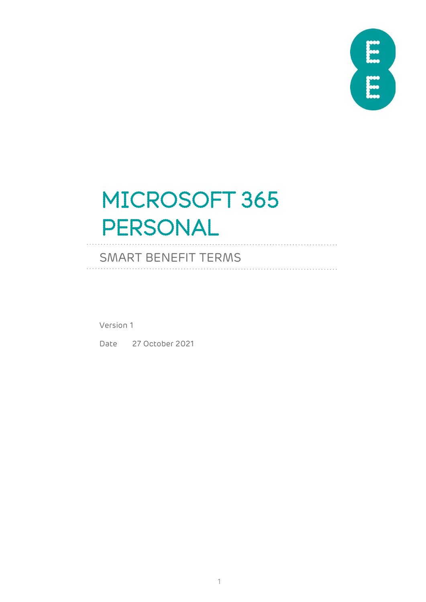

## MICROSOFT 365 PERSONAL

## SMART BENEFIT TERMS

Version 1

Date 27 October 2021